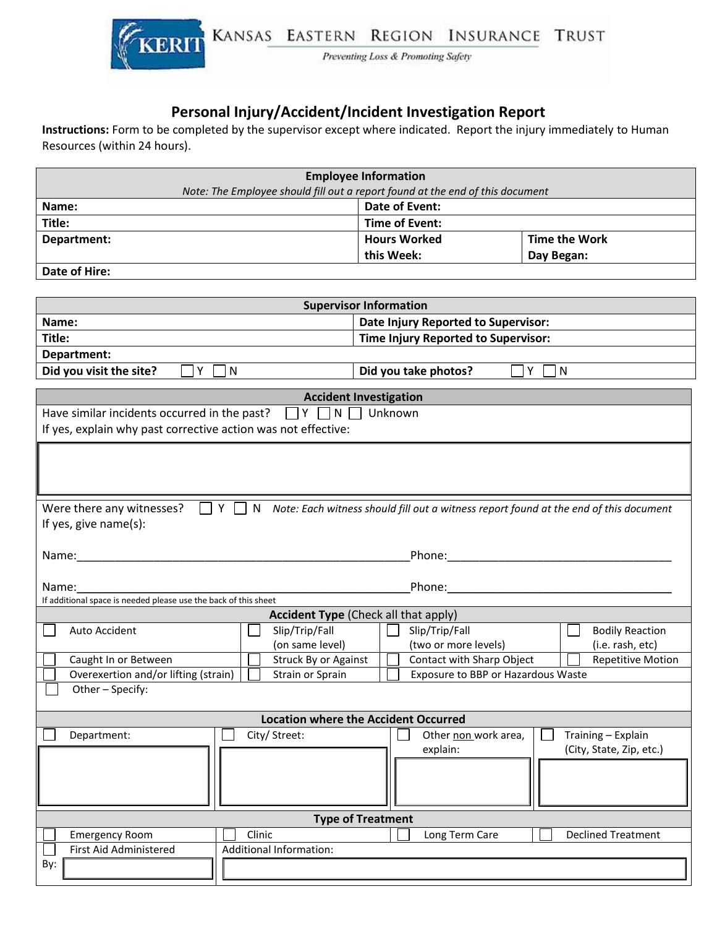

Preventing Loss & Promoting Safety

## **Personal Injury/Accident/Incident Investigation Report**

**Instructions:** Form to be completed by the supervisor except where indicated. Report the injury immediately to Human Resources (within 24 hours).

| <b>Employee Information</b>                                                   |                       |                      |  |  |  |
|-------------------------------------------------------------------------------|-----------------------|----------------------|--|--|--|
| Note: The Employee should fill out a report found at the end of this document |                       |                      |  |  |  |
| Date of Event:<br>Name:                                                       |                       |                      |  |  |  |
| Title:                                                                        | <b>Time of Event:</b> |                      |  |  |  |
| Department:                                                                   | <b>Hours Worked</b>   | <b>Time the Work</b> |  |  |  |
|                                                                               | this Week:            | Day Began:           |  |  |  |
| Date of Hire:                                                                 |                       |                      |  |  |  |
|                                                                               |                       |                      |  |  |  |

| <b>Supervisor Information</b>                                                                                                |  |  |  |  |  |
|------------------------------------------------------------------------------------------------------------------------------|--|--|--|--|--|
| Date Injury Reported to Supervisor:<br>Name:                                                                                 |  |  |  |  |  |
| Title:<br>Time Injury Reported to Supervisor:                                                                                |  |  |  |  |  |
| Department:                                                                                                                  |  |  |  |  |  |
| Y<br>Did you visit the site?<br>l N<br>Did you take photos?<br>Y<br>$\mathsf{N}$                                             |  |  |  |  |  |
|                                                                                                                              |  |  |  |  |  |
| <b>Accident Investigation</b>                                                                                                |  |  |  |  |  |
| Have similar incidents occurred in the past?<br>$\Box$ Y $\Box$<br>N<br>Unknown                                              |  |  |  |  |  |
| If yes, explain why past corrective action was not effective:                                                                |  |  |  |  |  |
|                                                                                                                              |  |  |  |  |  |
|                                                                                                                              |  |  |  |  |  |
|                                                                                                                              |  |  |  |  |  |
| Were there any witnesses?<br>Y<br>N<br>Note: Each witness should fill out a witness report found at the end of this document |  |  |  |  |  |
| If yes, give name(s):                                                                                                        |  |  |  |  |  |
|                                                                                                                              |  |  |  |  |  |
| Name: Name:                                                                                                                  |  |  |  |  |  |
|                                                                                                                              |  |  |  |  |  |
| Name:<br>Phone: All and the second service of the series of the series of the series of the series of the series of the      |  |  |  |  |  |
| If additional space is needed please use the back of this sheet                                                              |  |  |  |  |  |
| <b>Accident Type (Check all that apply)</b>                                                                                  |  |  |  |  |  |
| Slip/Trip/Fall<br>Slip/Trip/Fall<br><b>Bodily Reaction</b><br>Auto Accident                                                  |  |  |  |  |  |
| (on same level)<br>(two or more levels)<br>(i.e. rash, etc)                                                                  |  |  |  |  |  |
| Struck By or Against<br>Contact with Sharp Object<br><b>Repetitive Motion</b><br>Caught In or Between                        |  |  |  |  |  |
| Overexertion and/or lifting (strain)<br>Strain or Sprain<br>Exposure to BBP or Hazardous Waste                               |  |  |  |  |  |
| Other - Specify:                                                                                                             |  |  |  |  |  |
| <b>Location where the Accident Occurred</b>                                                                                  |  |  |  |  |  |
| City/ Street:<br>Other non work area,<br>Training - Explain<br>Department:                                                   |  |  |  |  |  |
| explain:<br>(City, State, Zip, etc.)                                                                                         |  |  |  |  |  |
|                                                                                                                              |  |  |  |  |  |
|                                                                                                                              |  |  |  |  |  |
|                                                                                                                              |  |  |  |  |  |
|                                                                                                                              |  |  |  |  |  |
| <b>Type of Treatment</b>                                                                                                     |  |  |  |  |  |
| Clinic<br><b>Declined Treatment</b><br><b>Emergency Room</b><br>Long Term Care                                               |  |  |  |  |  |
| First Aid Administered<br>Additional Information:                                                                            |  |  |  |  |  |
| By:                                                                                                                          |  |  |  |  |  |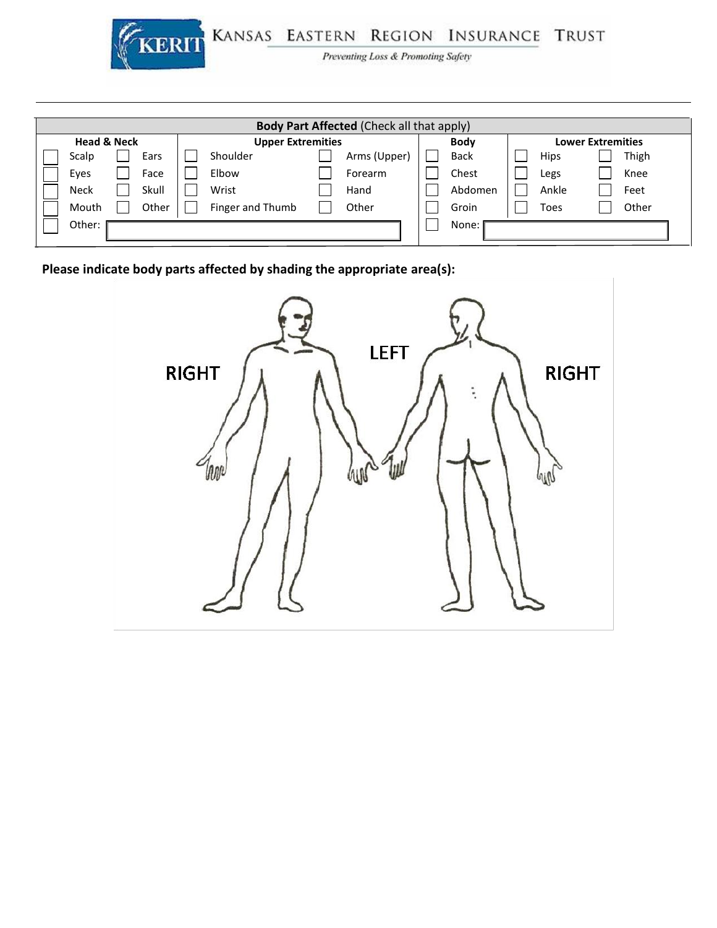

KERIT KANSAS EASTERN REGION INSURANCE TRUST

Preventing Loss & Promoting Safety

| <b>Body Part Affected (Check all that apply)</b> |                                                    |  |       |  |                  |                          |              |             |  |             |  |       |
|--------------------------------------------------|----------------------------------------------------|--|-------|--|------------------|--------------------------|--------------|-------------|--|-------------|--|-------|
|                                                  | <b>Head &amp; Neck</b><br><b>Upper Extremities</b> |  |       |  | <b>Body</b>      | <b>Lower Extremities</b> |              |             |  |             |  |       |
|                                                  | Scalp                                              |  | Ears  |  | Shoulder         |                          | Arms (Upper) | <b>Back</b> |  | <b>Hips</b> |  | Thigh |
|                                                  | Eyes                                               |  | Face  |  | Elbow            |                          | Forearm      | Chest       |  | Legs        |  | Knee  |
|                                                  | <b>Neck</b>                                        |  | Skull |  | Wrist            |                          | Hand         | Abdomen     |  | Ankle       |  | Feet  |
|                                                  | Mouth                                              |  | Other |  | Finger and Thumb |                          | Other        | Groin       |  | Toes        |  | Other |
| Other:                                           |                                                    |  |       |  | None:            |                          |              |             |  |             |  |       |

**Please indicate body parts affected by shading the appropriate area(s):**

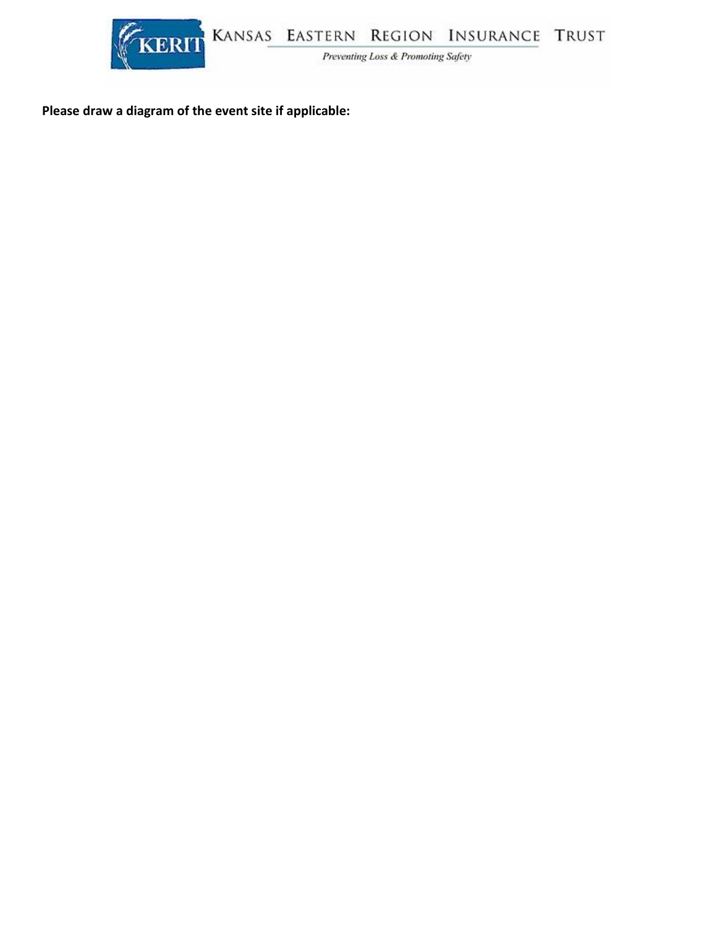

**Please draw a diagram of the event site if applicable:**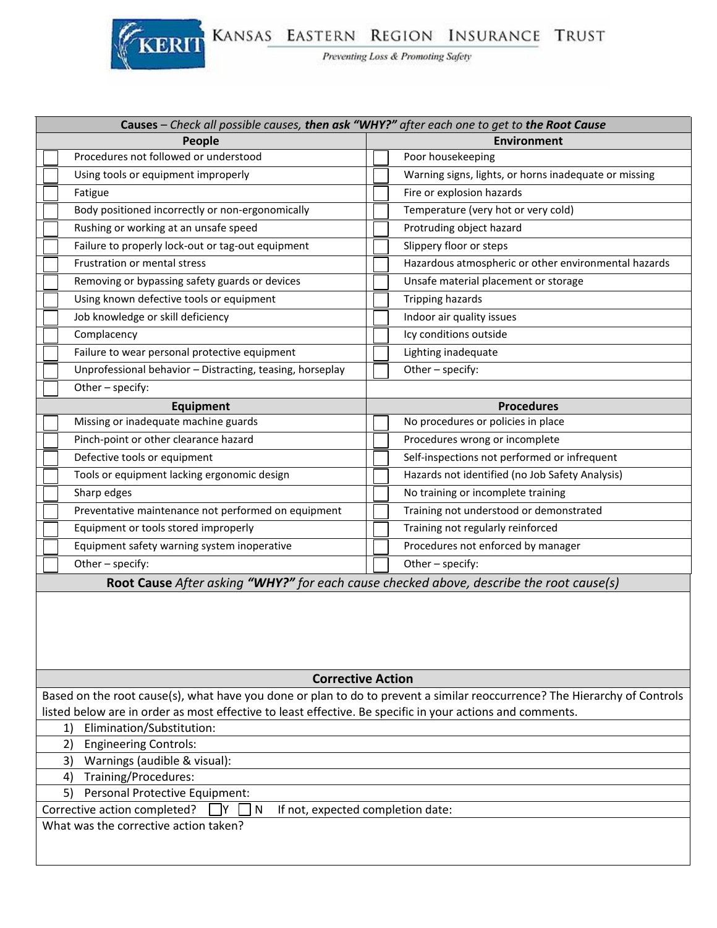## KERIT KANSAS EASTERN REGION INSURANCE TRUST

| Causes - Check all possible causes, then ask "WHY?" after each one to get to the Root Cause                               |                                                       |  |  |  |  |  |
|---------------------------------------------------------------------------------------------------------------------------|-------------------------------------------------------|--|--|--|--|--|
| People<br><b>Environment</b>                                                                                              |                                                       |  |  |  |  |  |
| Procedures not followed or understood                                                                                     | Poor housekeeping                                     |  |  |  |  |  |
| Using tools or equipment improperly                                                                                       | Warning signs, lights, or horns inadequate or missing |  |  |  |  |  |
| Fatigue                                                                                                                   | Fire or explosion hazards                             |  |  |  |  |  |
| Body positioned incorrectly or non-ergonomically                                                                          | Temperature (very hot or very cold)                   |  |  |  |  |  |
| Rushing or working at an unsafe speed                                                                                     | Protruding object hazard                              |  |  |  |  |  |
| Failure to properly lock-out or tag-out equipment                                                                         | Slippery floor or steps                               |  |  |  |  |  |
| <b>Frustration or mental stress</b>                                                                                       | Hazardous atmospheric or other environmental hazards  |  |  |  |  |  |
| Removing or bypassing safety guards or devices                                                                            | Unsafe material placement or storage                  |  |  |  |  |  |
| Using known defective tools or equipment                                                                                  | Tripping hazards                                      |  |  |  |  |  |
| Job knowledge or skill deficiency                                                                                         | Indoor air quality issues                             |  |  |  |  |  |
| Complacency                                                                                                               | Icy conditions outside                                |  |  |  |  |  |
| Failure to wear personal protective equipment                                                                             | Lighting inadequate                                   |  |  |  |  |  |
| Unprofessional behavior - Distracting, teasing, horseplay                                                                 | Other - specify:                                      |  |  |  |  |  |
| Other - specify:                                                                                                          |                                                       |  |  |  |  |  |
| <b>Equipment</b>                                                                                                          | <b>Procedures</b>                                     |  |  |  |  |  |
| Missing or inadequate machine guards                                                                                      | No procedures or policies in place                    |  |  |  |  |  |
| Pinch-point or other clearance hazard                                                                                     | Procedures wrong or incomplete                        |  |  |  |  |  |
| Defective tools or equipment                                                                                              | Self-inspections not performed or infrequent          |  |  |  |  |  |
| Tools or equipment lacking ergonomic design                                                                               | Hazards not identified (no Job Safety Analysis)       |  |  |  |  |  |
| Sharp edges                                                                                                               | No training or incomplete training                    |  |  |  |  |  |
| Preventative maintenance not performed on equipment                                                                       | Training not understood or demonstrated               |  |  |  |  |  |
| Equipment or tools stored improperly                                                                                      | Training not regularly reinforced                     |  |  |  |  |  |
| Equipment safety warning system inoperative                                                                               | Procedures not enforced by manager                    |  |  |  |  |  |
| Other - specify:                                                                                                          | Other - specify:                                      |  |  |  |  |  |
| Root Cause After asking "WHY?" for each cause checked above, describe the root cause(s)                                   |                                                       |  |  |  |  |  |
|                                                                                                                           |                                                       |  |  |  |  |  |
| <b>Corrective Action</b>                                                                                                  |                                                       |  |  |  |  |  |
| Based on the root cause(s), what have you done or plan to do to prevent a similar reoccurrence? The Hierarchy of Controls |                                                       |  |  |  |  |  |
| listed below are in order as most effective to least effective. Be specific in your actions and comments.                 |                                                       |  |  |  |  |  |
| Elimination/Substitution:<br>1)                                                                                           |                                                       |  |  |  |  |  |
| <b>Engineering Controls:</b><br>2)<br>Warnings (audible & visual):<br>3)                                                  |                                                       |  |  |  |  |  |
| Training/Procedures:<br>4)                                                                                                |                                                       |  |  |  |  |  |
| <b>Personal Protective Equipment:</b><br>5)                                                                               |                                                       |  |  |  |  |  |
| Corrective action completed?<br>$\mathsf{N}$<br>If not, expected completion date:<br>IY                                   |                                                       |  |  |  |  |  |
| What was the corrective action taken?                                                                                     |                                                       |  |  |  |  |  |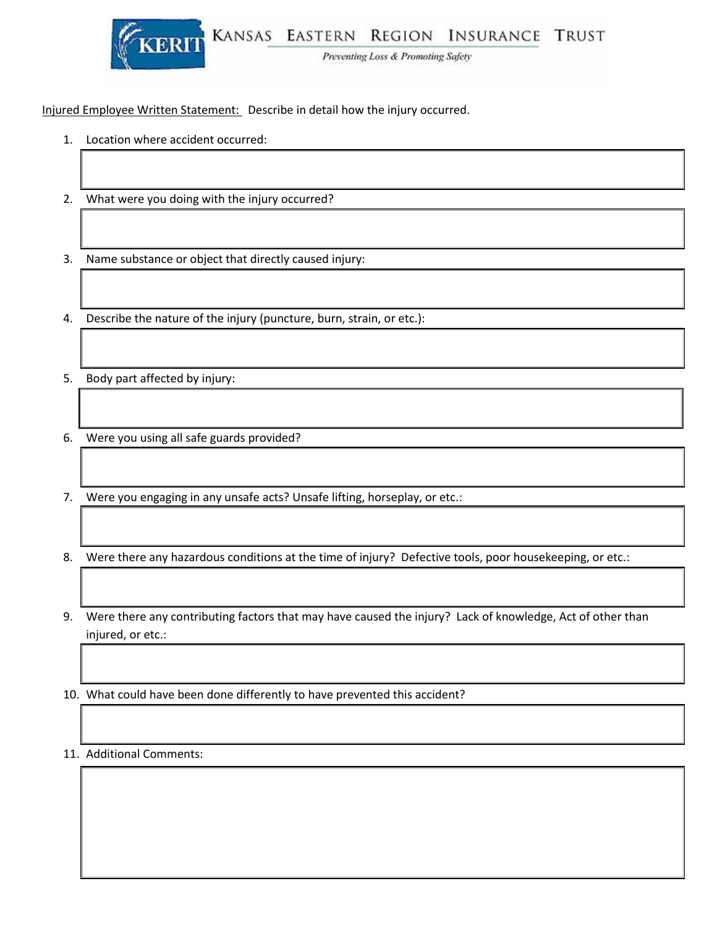

Preventing Loss & Promoting Safety

Injured Employee Written Statement: Describe in detail how the injury occurred.

- 1. Location where accident occurred:
- 2. What were you doing with the injury occurred?
- 3. Name substance or object that directly caused injury:

4. Describe the nature of the injury (puncture, burn, strain, or etc.):

- 5. Body part affected by injury:
- 6. Were you using all safe guards provided?
- 7. Were you engaging in any unsafe acts? Unsafe lifting, horseplay, or etc.:
- 8. Were there any hazardous conditions at the time of injury? Defective tools, poor housekeeping, or etc.:
- 9. Were there any contributing factors that may have caused the injury? Lack of knowledge, Act of other than injured, or etc.:

10. What could have been done differently to have prevented this accident?

11. Additional Comments: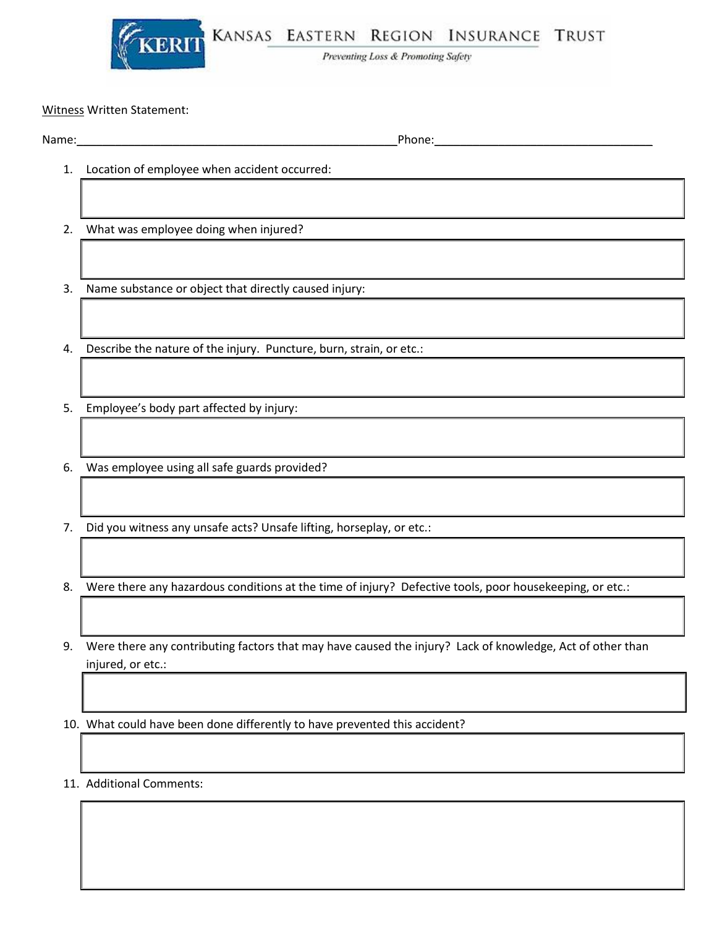

KERIT KANSAS EASTERN REGION INSURANCE TRUST

Preventing Loss & Promoting Safety

Witness Written Statement:

Name:\_\_\_\_\_\_\_\_\_\_\_\_\_\_\_\_\_\_\_\_\_\_\_\_\_\_\_\_\_\_\_\_\_\_\_\_\_\_\_\_\_\_\_\_\_\_\_\_\_\_Phone:\_\_\_\_\_\_\_\_\_\_\_\_\_\_\_\_\_\_\_\_\_\_\_\_\_\_\_\_\_\_\_\_\_\_

- 1. Location of employee when accident occurred:
- 2. What was employee doing when injured?
- 3. Name substance or object that directly caused injury:
- 4. Describe the nature of the injury. Puncture, burn, strain, or etc.:
- 5. Employee's body part affected by injury:
- 6. Was employee using all safe guards provided?
- 7. Did you witness any unsafe acts? Unsafe lifting, horseplay, or etc.:

8. Were there any hazardous conditions at the time of injury? Defective tools, poor housekeeping, or etc.:

9. Were there any contributing factors that may have caused the injury? Lack of knowledge, Act of other than injured, or etc.:

10. What could have been done differently to have prevented this accident?

11. Additional Comments: